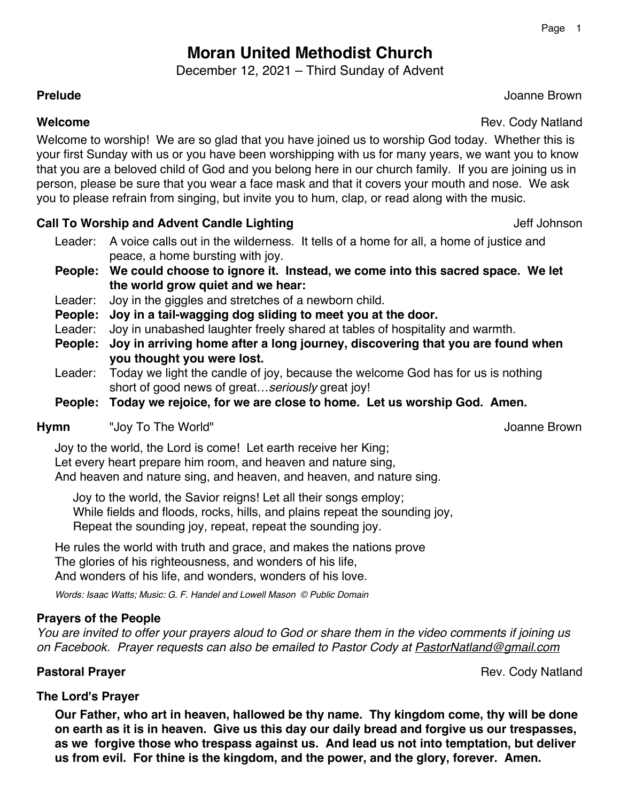# **Moran United Methodist Church**

December 12, 2021 – Third Sunday of Advent

### **Prelude** Joanne Brown

**Welcome Rev. Cody Natland Rev. Cody Natland** 

Welcome to worship! We are so glad that you have joined us to worship God today. Whether this is your first Sunday with us or you have been worshipping with us for many years, we want you to know that you are a beloved child of God and you belong here in our church family. If you are joining us in person, please be sure that you wear a face mask and that it covers your mouth and nose. We ask you to please refrain from singing, but invite you to hum, clap, or read along with the music.

## **Call To Worship and Advent Candle Lighting Candidate Structure Candidate Candidate Candidate Candidate Candidate Candidate Candidate Candidate Candidate Candidate Candidate Candidate Candidate Candidate Candidate Candidat**

- Leader: A voice calls out in the wilderness. It tells of a home for all, a home of justice and peace, a home bursting with joy.
- **People: We could choose to ignore it. Instead, we come into this sacred space. We let the world grow quiet and we hear:**
- Leader: Joy in the giggles and stretches of a newborn child.
- **People: Joy in a tail-wagging dog sliding to meet you at the door.**
- Leader: Joy in unabashed laughter freely shared at tables of hospitality and warmth.
- **People: Joy in arriving home after a long journey, discovering that you are found when you thought you were lost.**
- Leader: Today we light the candle of joy, because the welcome God has for us is nothing short of good news of great…*seriously* great joy!
- **People: Today we rejoice, for we are close to home. Let us worship God. Amen.**

**Hymn** "Joy To The World" Joanne Brown

Joy to the world, the Lord is come! Let earth receive her King; Let every heart prepare him room, and heaven and nature sing, And heaven and nature sing, and heaven, and heaven, and nature sing.

Joy to the world, the Savior reigns! Let all their songs employ; While fields and floods, rocks, hills, and plains repeat the sounding joy, Repeat the sounding joy, repeat, repeat the sounding joy.

He rules the world with truth and grace, and makes the nations prove The glories of his righteousness, and wonders of his life, And wonders of his life, and wonders, wonders of his love.

*Words: Isaac Watts; Music: G. F. Handel and Lowell Mason © Public Domain*

## **Prayers of the People**

*You are invited to offer your prayers aloud to God or share them in the video comments if joining us on Facebook. Prayer requests can also be emailed to Pastor Cody at PastorNatland@gmail.com*

**Pastoral Prayer Pastoral Prayer Rev. Cody Natland** 

## **The Lord's Prayer**

**Our Father, who art in heaven, hallowed be thy name. Thy kingdom come, thy will be done on earth as it is in heaven. Give us this day our daily bread and forgive us our trespasses, as we forgive those who trespass against us. And lead us not into temptation, but deliver us from evil. For thine is the kingdom, and the power, and the glory, forever. Amen.**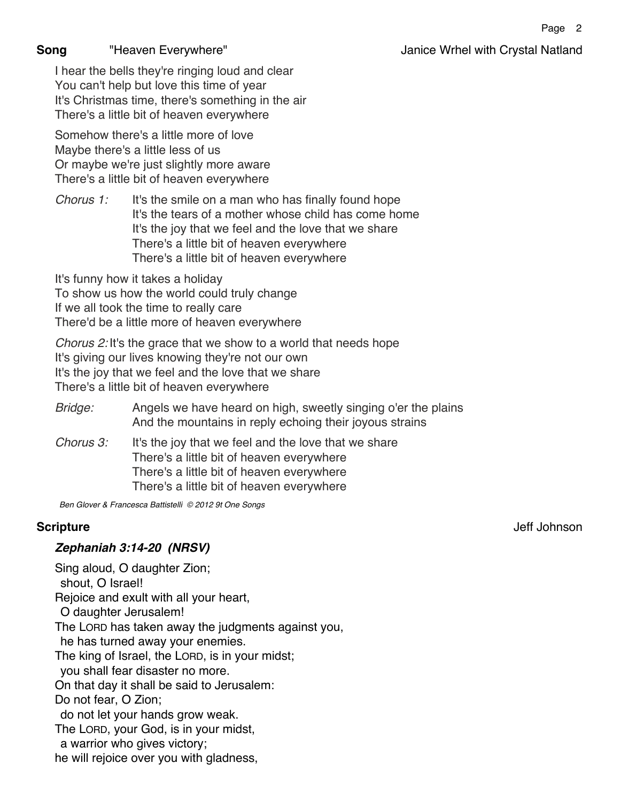## **Song Theaven Everywhere"** The Song Janice Wrhel with Crystal Natland

I hear the bells they're ringing loud and clear You can't help but love this time of year It's Christmas time, there's something in the air There's a little bit of heaven everywhere

Somehow there's a little more of love Maybe there's a little less of us Or maybe we're just slightly more aware There's a little bit of heaven everywhere

*Chorus 1:* It's the smile on a man who has finally found hope It's the tears of a mother whose child has come home It's the joy that we feel and the love that we share There's a little bit of heaven everywhere There's a little bit of heaven everywhere

It's funny how it takes a holiday To show us how the world could truly change If we all took the time to really care There'd be a little more of heaven everywhere

*Chorus 2:* It's the grace that we show to a world that needs hope It's giving our lives knowing they're not our own It's the joy that we feel and the love that we share There's a little bit of heaven everywhere

## *Bridge:* Angels we have heard on high, sweetly singing o'er the plains And the mountains in reply echoing their joyous strains

*Chorus 3:* It's the joy that we feel and the love that we share There's a little bit of heaven everywhere There's a little bit of heaven everywhere There's a little bit of heaven everywhere

*Ben Glover & Francesca Battistelli © 2012 9t One Songs*

## *Zephaniah 3:14-20 (NRSV)*

Sing aloud, O daughter Zion; shout, O Israel! Rejoice and exult with all your heart, O daughter Jerusalem! The LORD has taken away the judgments against you, he has turned away your enemies. The king of Israel, the LORD, is in your midst; you shall fear disaster no more. On that day it shall be said to Jerusalem: Do not fear, O Zion; do not let your hands grow weak. The LORD, your God, is in your midst, a warrior who gives victory; he will rejoice over you with gladness,

**Scripture** Jeff Johnson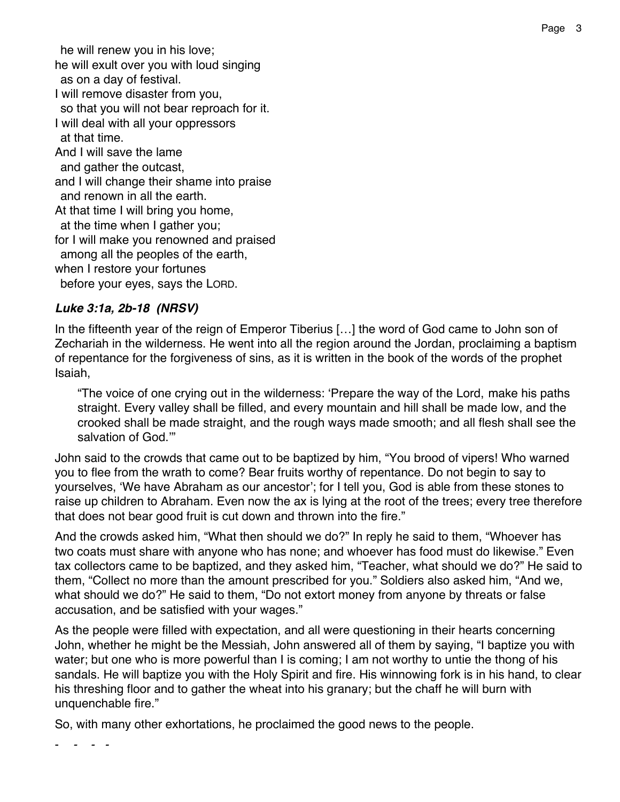he will renew you in his love; he will exult over you with loud singing as on a day of festival. I will remove disaster from you, so that you will not bear reproach for it. I will deal with all your oppressors at that time. And I will save the lame and gather the outcast, and I will change their shame into praise and renown in all the earth. At that time I will bring you home, at the time when I gather you; for I will make you renowned and praised among all the peoples of the earth, when I restore your fortunes before your eyes, says the LORD.

## *Luke 3:1a, 2b-18 (NRSV)*

In the fifteenth year of the reign of Emperor Tiberius […] the word of God came to John son of Zechariah in the wilderness. He went into all the region around the Jordan, proclaiming a baptism of repentance for the forgiveness of sins, as it is written in the book of the words of the prophet Isaiah,

"The voice of one crying out in the wilderness: 'Prepare the way of the Lord, make his paths straight. Every valley shall be filled, and every mountain and hill shall be made low, and the crooked shall be made straight, and the rough ways made smooth; and all flesh shall see the salvation of God.'"

John said to the crowds that came out to be baptized by him, "You brood of vipers! Who warned you to flee from the wrath to come? Bear fruits worthy of repentance. Do not begin to say to yourselves, 'We have Abraham as our ancestor'; for I tell you, God is able from these stones to raise up children to Abraham. Even now the ax is lying at the root of the trees; every tree therefore that does not bear good fruit is cut down and thrown into the fire."

And the crowds asked him, "What then should we do?" In reply he said to them, "Whoever has two coats must share with anyone who has none; and whoever has food must do likewise." Even tax collectors came to be baptized, and they asked him, "Teacher, what should we do?" He said to them, "Collect no more than the amount prescribed for you." Soldiers also asked him, "And we, what should we do?" He said to them, "Do not extort money from anyone by threats or false accusation, and be satisfied with your wages."

As the people were filled with expectation, and all were questioning in their hearts concerning John, whether he might be the Messiah, John answered all of them by saying, "I baptize you with water; but one who is more powerful than I is coming; I am not worthy to untie the thong of his sandals. He will baptize you with the Holy Spirit and fire. His winnowing fork is in his hand, to clear his threshing floor and to gather the wheat into his granary; but the chaff he will burn with unquenchable fire."

So, with many other exhortations, he proclaimed the good news to the people.

- *- - -*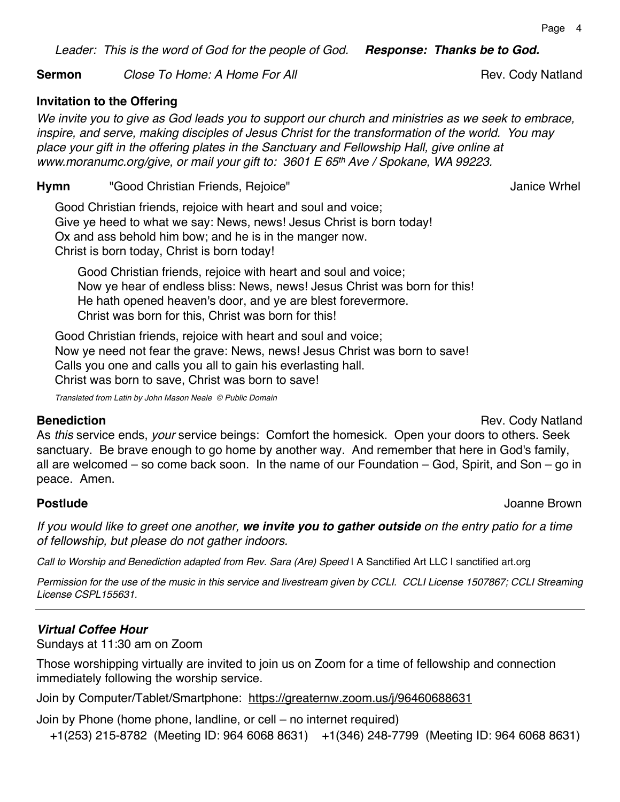*Leader: This is the word of God for the people of God. Response: Thanks be to God.*

**Sermon** *Close To Home: A Home For All COMEXALLECTION* **Rev. Cody Natland** 

### **Invitation to the Offering**

*We invite you to give as God leads you to support our church and ministries as we seek to embrace, inspire, and serve, making disciples of Jesus Christ for the transformation of the world. You may place your gift in the offering plates in the Sanctuary and Fellowship Hall, give online at www.moranumc.org/give, or mail your gift to: 3601 E 65th Ave / Spokane, WA 99223.*

**Hymn** "Good Christian Friends, Rejoice" **Consumersed Account Consumersed Account** Janice Wrhel

Good Christian friends, rejoice with heart and soul and voice; Give ye heed to what we say: News, news! Jesus Christ is born today! Ox and ass behold him bow; and he is in the manger now. Christ is born today, Christ is born today!

Good Christian friends, rejoice with heart and soul and voice; Now ye hear of endless bliss: News, news! Jesus Christ was born for this! He hath opened heaven's door, and ye are blest forevermore. Christ was born for this, Christ was born for this!

Good Christian friends, rejoice with heart and soul and voice; Now ye need not fear the grave: News, news! Jesus Christ was born to save! Calls you one and calls you all to gain his everlasting hall. Christ was born to save, Christ was born to save!

*Translated from Latin by John Mason Neale © Public Domain*

**Benediction** Rev. Cody Natland

As *this* service ends, *your* service beings: Comfort the homesick. Open your doors to others. Seek sanctuary. Be brave enough to go home by another way. And remember that here in God's family, all are welcomed – so come back soon. In the name of our Foundation – God, Spirit, and Son – go in peace. Amen.

**Postlude** Joanne Brown

*If you would like to greet one another, we invite you to gather outside on the entry patio for a time of fellowship, but please do not gather indoors.*

*Call to Worship and Benediction adapted from Rev. Sara (Are) Speed* | A Sanctified Art LLC | sanctified art.org

*Permission for the use of the music in this service and livestream given by CCLI. CCLI License 1507867; CCLI Streaming License CSPL155631.*

### *Virtual Coffee Hour*

Sundays at 11:30 am on Zoom

Those worshipping virtually are invited to join us on Zoom for a time of fellowship and connection immediately following the worship service.

Join by Computer/Tablet/Smartphone: https://greaternw.zoom.us/j/96460688631

Join by Phone (home phone, landline, or cell – no internet required)

+1(253) 215-8782 (Meeting ID: 964 6068 8631) +1(346) 248-7799 (Meeting ID: 964 6068 8631)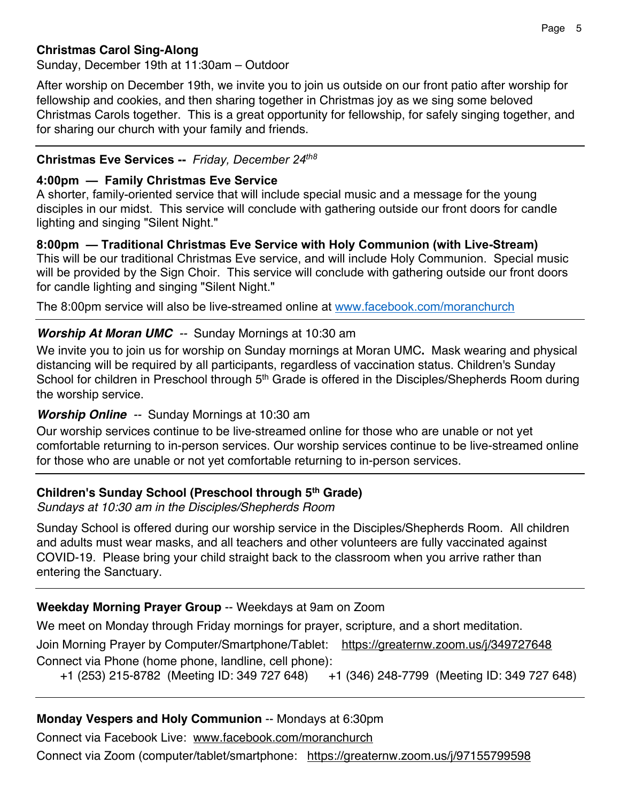## **Christmas Carol Sing-Along**

Sunday, December 19th at 11:30am – Outdoor

After worship on December 19th, we invite you to join us outside on our front patio after worship for fellowship and cookies, and then sharing together in Christmas joy as we sing some beloved Christmas Carols together. This is a great opportunity for fellowship, for safely singing together, and for sharing our church with your family and friends.

## **Christmas Eve Services --** *Friday, December 24th8*

## **4:00pm — Family Christmas Eve Service**

A shorter, family-oriented service that will include special music and a message for the young disciples in our midst. This service will conclude with gathering outside our front doors for candle lighting and singing "Silent Night."

## **8:00pm — Traditional Christmas Eve Service with Holy Communion (with Live-Stream)**

This will be our traditional Christmas Eve service, and will include Holy Communion. Special music will be provided by the Sign Choir. This service will conclude with gathering outside our front doors for candle lighting and singing "Silent Night."

The 8:00pm service will also be live-streamed online at www.facebook.com/moranchurch

## *Worship At Moran UMC --* Sunday Mornings at 10:30 am

We invite you to join us for worship on Sunday mornings at Moran UMC**.** Mask wearing and physical distancing will be required by all participants, regardless of vaccination status. Children's Sunday School for children in Preschool through 5<sup>th</sup> Grade is offered in the Disciples/Shepherds Room during the worship service.

## *Worship Online --* Sunday Mornings at 10:30 am

Our worship services continue to be live-streamed online for those who are unable or not yet comfortable returning to in-person services. Our worship services continue to be live-streamed online for those who are unable or not yet comfortable returning to in-person services.

## **Children's Sunday School (Preschool through 5th Grade)**

*Sundays at 10:30 am in the Disciples/Shepherds Room*

Sunday School is offered during our worship service in the Disciples/Shepherds Room. All children and adults must wear masks, and all teachers and other volunteers are fully vaccinated against COVID-19. Please bring your child straight back to the classroom when you arrive rather than entering the Sanctuary.

## **Weekday Morning Prayer Group** -- Weekdays at 9am on Zoom

We meet on Monday through Friday mornings for prayer, scripture, and a short meditation. Join Morning Prayer by Computer/Smartphone/Tablet: https://greaternw.zoom.us/j/349727648 Connect via Phone (home phone, landline, cell phone):

+1 (253) 215-8782 (Meeting ID: 349 727 648) +1 (346) 248-7799 (Meeting ID: 349 727 648)

## **Monday Vespers and Holy Communion** -- Mondays at 6:30pm

Connect via Facebook Live: www.facebook.com/moranchurch Connect via Zoom (computer/tablet/smartphone: https://greaternw.zoom.us/j/97155799598